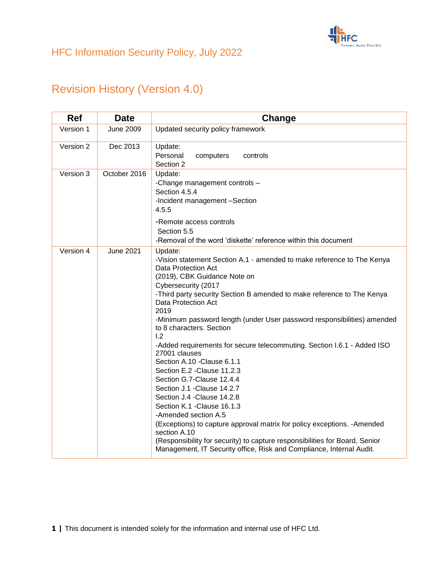

# Revision History (Version 4.0)

| <b>Ref</b> | <b>Date</b>      | Change                                                                                                                                                                                                                                                                                                                                                                                                                                                                                                                                                                                                                                                                                                                                                                                                                                                                                                                                                |  |  |  |  |
|------------|------------------|-------------------------------------------------------------------------------------------------------------------------------------------------------------------------------------------------------------------------------------------------------------------------------------------------------------------------------------------------------------------------------------------------------------------------------------------------------------------------------------------------------------------------------------------------------------------------------------------------------------------------------------------------------------------------------------------------------------------------------------------------------------------------------------------------------------------------------------------------------------------------------------------------------------------------------------------------------|--|--|--|--|
| Version 1  | <b>June 2009</b> | Updated security policy framework                                                                                                                                                                                                                                                                                                                                                                                                                                                                                                                                                                                                                                                                                                                                                                                                                                                                                                                     |  |  |  |  |
| Version 2  | Dec 2013         | Update:<br>Personal<br>controls<br>computers<br>Section 2                                                                                                                                                                                                                                                                                                                                                                                                                                                                                                                                                                                                                                                                                                                                                                                                                                                                                             |  |  |  |  |
| Version 3  | October 2016     | Update:<br>-Change management controls -<br>Section 4.5.4<br>-Incident management -Section<br>4.5.5                                                                                                                                                                                                                                                                                                                                                                                                                                                                                                                                                                                                                                                                                                                                                                                                                                                   |  |  |  |  |
|            |                  | -Remote access controls<br>Section 5.5<br>-Removal of the word 'diskette' reference within this document                                                                                                                                                                                                                                                                                                                                                                                                                                                                                                                                                                                                                                                                                                                                                                                                                                              |  |  |  |  |
| Version 4  | <b>June 2021</b> | Update:<br>-Vision statement Section A.1 - amended to make reference to The Kenya<br>Data Protection Act<br>(2019), CBK Guidance Note on<br>Cybersecurity (2017<br>-Third party security Section B amended to make reference to The Kenya<br>Data Protection Act<br>2019<br>-Minimum password length (under User password responsibilities) amended<br>to 8 characters. Section<br>1.2<br>-Added requirements for secure telecommuting. Section I.6.1 - Added ISO<br>27001 clauses<br>Section A.10 - Clause 6.1.1<br>Section E.2 - Clause 11.2.3<br>Section G.7-Clause 12.4.4<br>Section J.1 - Clause 14.2.7<br>Section J.4 - Clause 14.2.8<br>Section K.1 - Clause 16.1.3<br>-Amended section A.5<br>(Exceptions) to capture approval matrix for policy exceptions. - Amended<br>section A.10<br>(Responsibility for security) to capture responsibilities for Board, Senior<br>Management, IT Security office, Risk and Compliance, Internal Audit. |  |  |  |  |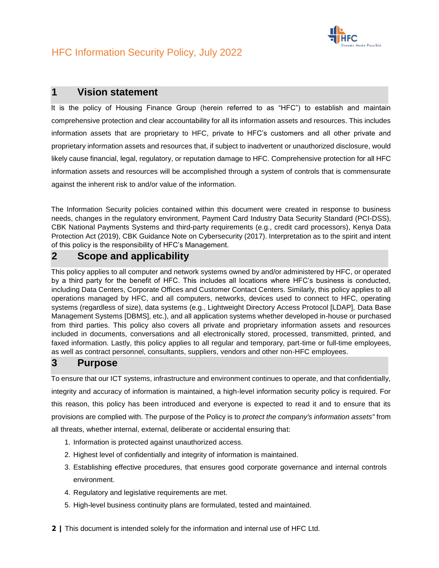

### **1 Vision statement**

It is the policy of Housing Finance Group (herein referred to as "HFC") to establish and maintain comprehensive protection and clear accountability for all its information assets and resources. This includes information assets that are proprietary to HFC, private to HFC's customers and all other private and proprietary information assets and resources that, if subject to inadvertent or unauthorized disclosure, would likely cause financial, legal, regulatory, or reputation damage to HFC. Comprehensive protection for all HFC information assets and resources will be accomplished through a system of controls that is commensurate against the inherent risk to and/or value of the information.

The Information Security policies contained within this document were created in response to business needs, changes in the regulatory environment, Payment Card Industry Data Security Standard (PCI-DSS), CBK National Payments Systems and third-party requirements (e.g., credit card processors), Kenya Data Protection Act (2019), CBK Guidance Note on Cybersecurity (2017). Interpretation as to the spirit and intent of this policy is the responsibility of HFC's Management.

### **2 Scope and applicability**

This policy applies to all computer and network systems owned by and/or administered by HFC, or operated by a third party for the benefit of HFC. This includes all locations where HFC's business is conducted, including Data Centers, Corporate Offices and Customer Contact Centers. Similarly, this policy applies to all operations managed by HFC, and all computers, networks, devices used to connect to HFC, operating systems (regardless of size), data systems (e.g., Lightweight Directory Access Protocol [LDAP], Data Base Management Systems [DBMS], etc.), and all application systems whether developed in-house or purchased from third parties. This policy also covers all private and proprietary information assets and resources included in documents, conversations and all electronically stored, processed, transmitted, printed, and faxed information. Lastly, this policy applies to all regular and temporary, part-time or full-time employees, as well as contract personnel, consultants, suppliers, vendors and other non-HFC employees.

### **3 Purpose**

To ensure that our ICT systems, infrastructure and environment continues to operate, and that confidentially, integrity and accuracy of information is maintained, a high-level information security policy is required. For this reason, this policy has been introduced and everyone is expected to read it and to ensure that its provisions are complied with. The purpose of the Policy is to *protect the company's information assets"* from all threats, whether internal, external, deliberate or accidental ensuring that:

- 1. Information is protected against unauthorized access.
- 2. Highest level of confidentially and integrity of information is maintained.
- 3. Establishing effective procedures, that ensures good corporate governance and internal controls environment.
- 4. Regulatory and legislative requirements are met.
- 5. High-level business continuity plans are formulated, tested and maintained.
- **2 |** This document is intended solely for the information and internal use of HFC Ltd.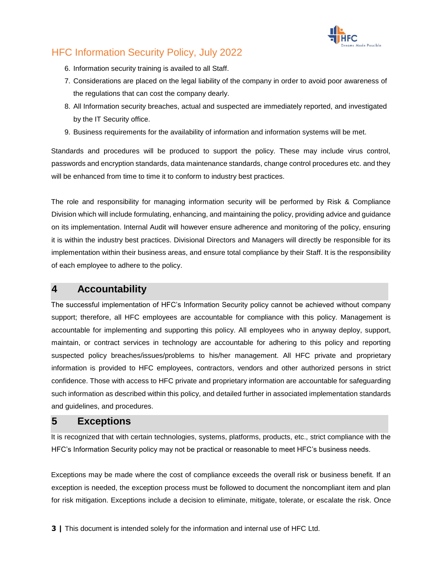

- 6. Information security training is availed to all Staff.
- 7. Considerations are placed on the legal liability of the company in order to avoid poor awareness of the regulations that can cost the company dearly.
- 8. All Information security breaches, actual and suspected are immediately reported, and investigated by the IT Security office.
- 9. Business requirements for the availability of information and information systems will be met.

Standards and procedures will be produced to support the policy. These may include virus control, passwords and encryption standards, data maintenance standards, change control procedures etc. and they will be enhanced from time to time it to conform to industry best practices.

The role and responsibility for managing information security will be performed by Risk & Compliance Division which will include formulating, enhancing, and maintaining the policy, providing advice and guidance on its implementation. Internal Audit will however ensure adherence and monitoring of the policy, ensuring it is within the industry best practices. Divisional Directors and Managers will directly be responsible for its implementation within their business areas, and ensure total compliance by their Staff. It is the responsibility of each employee to adhere to the policy.

### **4 Accountability**

The successful implementation of HFC's Information Security policy cannot be achieved without company support; therefore, all HFC employees are accountable for compliance with this policy. Management is accountable for implementing and supporting this policy. All employees who in anyway deploy, support, maintain, or contract services in technology are accountable for adhering to this policy and reporting suspected policy breaches/issues/problems to his/her management. All HFC private and proprietary information is provided to HFC employees, contractors, vendors and other authorized persons in strict confidence. Those with access to HFC private and proprietary information are accountable for safeguarding such information as described within this policy, and detailed further in associated implementation standards and guidelines, and procedures.

### **5 Exceptions**

It is recognized that with certain technologies, systems, platforms, products, etc., strict compliance with the HFC's Information Security policy may not be practical or reasonable to meet HFC's business needs.

Exceptions may be made where the cost of compliance exceeds the overall risk or business benefit. If an exception is needed, the exception process must be followed to document the noncompliant item and plan for risk mitigation. Exceptions include a decision to eliminate, mitigate, tolerate, or escalate the risk. Once

**3 |** This document is intended solely for the information and internal use of HFC Ltd.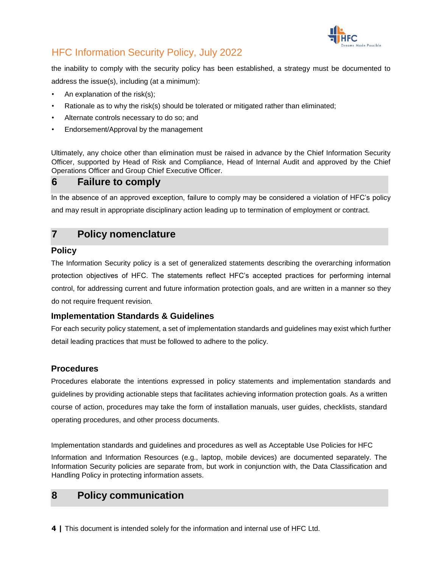

the inability to comply with the security policy has been established, a strategy must be documented to address the issue(s), including (at a minimum):

- An explanation of the risk $(s)$ ;
- Rationale as to why the risk(s) should be tolerated or mitigated rather than eliminated;
- Alternate controls necessary to do so; and
- Endorsement/Approval by the management

Ultimately, any choice other than elimination must be raised in advance by the Chief Information Security Officer, supported by Head of Risk and Compliance, Head of Internal Audit and approved by the Chief Operations Officer and Group Chief Executive Officer.

## **6 Failure to comply**

In the absence of an approved exception, failure to comply may be considered a violation of HFC's policy and may result in appropriate disciplinary action leading up to termination of employment or contract.

## **7 Policy nomenclature**

#### **Policy**

The Information Security policy is a set of generalized statements describing the overarching information protection objectives of HFC. The statements reflect HFC's accepted practices for performing internal control, for addressing current and future information protection goals, and are written in a manner so they do not require frequent revision.

#### **Implementation Standards & Guidelines**

For each security policy statement, a set of implementation standards and guidelines may exist which further detail leading practices that must be followed to adhere to the policy.

#### **Procedures**

Procedures elaborate the intentions expressed in policy statements and implementation standards and guidelines by providing actionable steps that facilitates achieving information protection goals. As a written course of action, procedures may take the form of installation manuals, user guides, checklists, standard operating procedures, and other process documents.

Implementation standards and guidelines and procedures as well as Acceptable Use Policies for HFC

Information and Information Resources (e.g., laptop, mobile devices) are documented separately. The Information Security policies are separate from, but work in conjunction with, the Data Classification and Handling Policy in protecting information assets.

## **8 Policy communication**

**4 |** This document is intended solely for the information and internal use of HFC Ltd.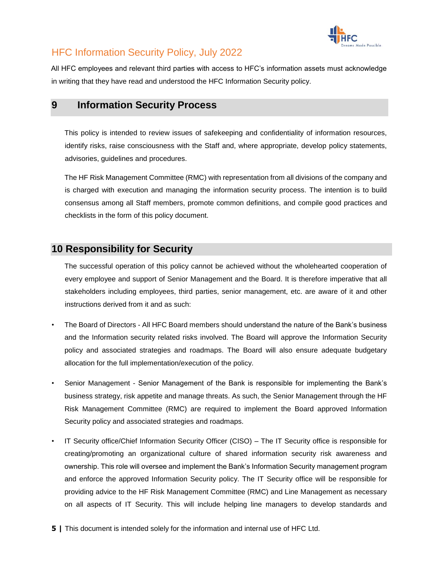

All HFC employees and relevant third parties with access to HFC's information assets must acknowledge in writing that they have read and understood the HFC Information Security policy.

### **9 Information Security Process**

This policy is intended to review issues of safekeeping and confidentiality of information resources, identify risks, raise consciousness with the Staff and, where appropriate, develop policy statements, advisories, guidelines and procedures.

The HF Risk Management Committee (RMC) with representation from all divisions of the company and is charged with execution and managing the information security process. The intention is to build consensus among all Staff members, promote common definitions, and compile good practices and checklists in the form of this policy document.

## **10 Responsibility for Security**

The successful operation of this policy cannot be achieved without the wholehearted cooperation of every employee and support of Senior Management and the Board. It is therefore imperative that all stakeholders including employees, third parties, senior management, etc. are aware of it and other instructions derived from it and as such:

- The Board of Directors All HFC Board members should understand the nature of the Bank's business and the Information security related risks involved. The Board will approve the Information Security policy and associated strategies and roadmaps. The Board will also ensure adequate budgetary allocation for the full implementation/execution of the policy.
- Senior Management Senior Management of the Bank is responsible for implementing the Bank's business strategy, risk appetite and manage threats. As such, the Senior Management through the HF Risk Management Committee (RMC) are required to implement the Board approved Information Security policy and associated strategies and roadmaps.
- IT Security office/Chief Information Security Officer (CISO) The IT Security office is responsible for creating/promoting an organizational culture of shared information security risk awareness and ownership. This role will oversee and implement the Bank's Information Security management program and enforce the approved Information Security policy. The IT Security office will be responsible for providing advice to the HF Risk Management Committee (RMC) and Line Management as necessary on all aspects of IT Security. This will include helping line managers to develop standards and
- **5 |** This document is intended solely for the information and internal use of HFC Ltd.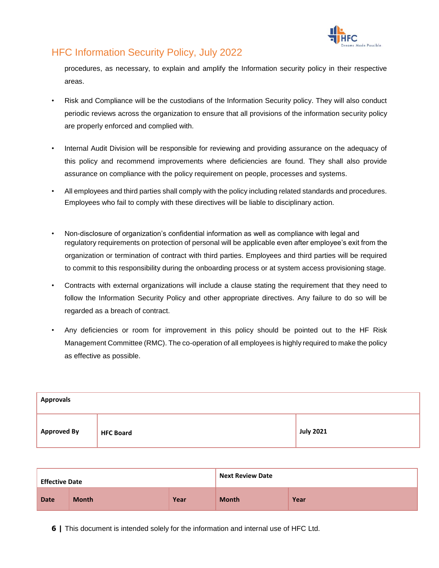

procedures, as necessary, to explain and amplify the Information security policy in their respective areas.

- Risk and Compliance will be the custodians of the Information Security policy. They will also conduct periodic reviews across the organization to ensure that all provisions of the information security policy are properly enforced and complied with.
- Internal Audit Division will be responsible for reviewing and providing assurance on the adequacy of this policy and recommend improvements where deficiencies are found. They shall also provide assurance on compliance with the policy requirement on people, processes and systems.
- All employees and third parties shall comply with the policy including related standards and procedures. Employees who fail to comply with these directives will be liable to disciplinary action.
- Non-disclosure of organization's confidential information as well as compliance with legal and regulatory requirements on protection of personal will be applicable even after employee's exit from the organization or termination of contract with third parties. Employees and third parties will be required to commit to this responsibility during the onboarding process or at system access provisioning stage.
- Contracts with external organizations will include a clause stating the requirement that they need to follow the Information Security Policy and other appropriate directives. Any failure to do so will be regarded as a breach of contract.
- Any deficiencies or room for improvement in this policy should be pointed out to the HF Risk Management Committee (RMC). The co-operation of all employees is highly required to make the policy as effective as possible.

| <b>Approvals</b>   |                  |           |  |  |
|--------------------|------------------|-----------|--|--|
| <b>Approved By</b> | <b>HFC Board</b> | July 2021 |  |  |

| <b>Effective Date</b> |              |      | <b>Next Review Date</b> |      |
|-----------------------|--------------|------|-------------------------|------|
| <b>Date</b>           | <b>Month</b> | Year | <b>Month</b>            | Year |

**6 |** This document is intended solely for the information and internal use of HFC Ltd.